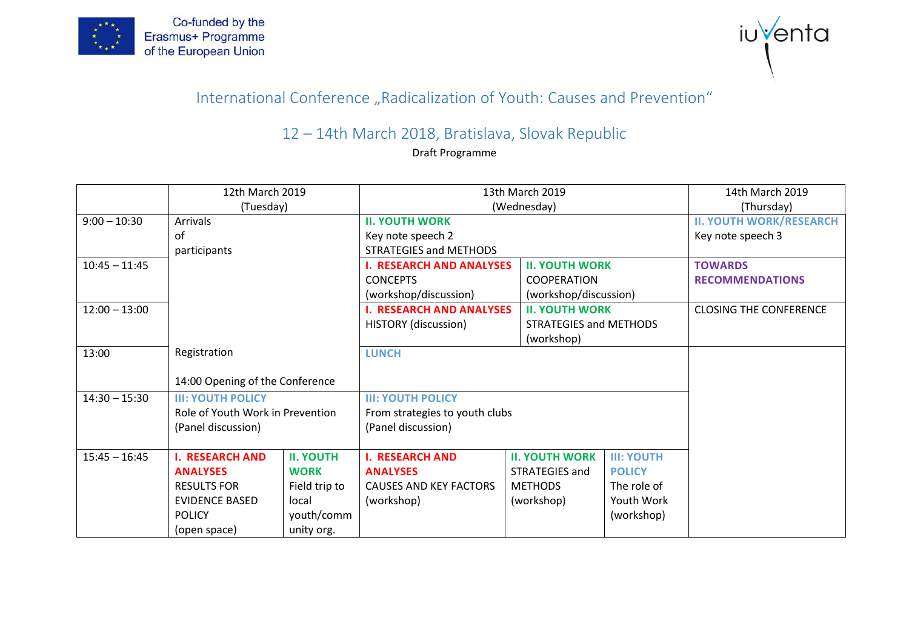



## International Conference "Radicalization of Youth: Causes and Prevention"

## 12 – 14th March 2018, Bratislava, Slovak Republic

Draft Programme

|                 | 12th March 2019                          |                  | 13th March 2019                 |                               |                   | 14th March 2019                |  |
|-----------------|------------------------------------------|------------------|---------------------------------|-------------------------------|-------------------|--------------------------------|--|
|                 | (Tuesday)                                |                  | (Wednesday)                     |                               |                   | (Thursday)                     |  |
| $9:00 - 10:30$  | <b>Arrivals</b>                          |                  | <b>II. YOUTH WORK</b>           |                               |                   | <b>II. YOUTH WORK/RESEARCH</b> |  |
|                 | of                                       |                  | Key note speech 2               |                               |                   | Key note speech 3              |  |
|                 | participants                             |                  | <b>STRATEGIES and METHODS</b>   |                               |                   |                                |  |
| $10:45 - 11:45$ |                                          |                  | <b>I. RESEARCH AND ANALYSES</b> | <b>II. YOUTH WORK</b>         |                   | <b>TOWARDS</b>                 |  |
|                 |                                          |                  | <b>CONCEPTS</b>                 | <b>COOPERATION</b>            |                   | <b>RECOMMENDATIONS</b>         |  |
|                 |                                          |                  | (workshop/discussion)           | (workshop/discussion)         |                   |                                |  |
| $12:00 - 13:00$ |                                          |                  | <b>I. RESEARCH AND ANALYSES</b> | <b>II. YOUTH WORK</b>         |                   | <b>CLOSING THE CONFERENCE</b>  |  |
|                 |                                          |                  | HISTORY (discussion)            | <b>STRATEGIES and METHODS</b> |                   |                                |  |
|                 |                                          |                  |                                 | (workshop)                    |                   |                                |  |
| 13:00           | Registration                             |                  | <b>LUNCH</b>                    |                               |                   |                                |  |
|                 |                                          |                  |                                 |                               |                   |                                |  |
|                 | 14:00 Opening of the Conference          |                  |                                 |                               |                   |                                |  |
| $14:30 - 15:30$ | <b>III: YOUTH POLICY</b>                 |                  | <b>III: YOUTH POLICY</b>        |                               |                   |                                |  |
|                 | Role of Youth Work in Prevention         |                  | From strategies to youth clubs  |                               |                   |                                |  |
|                 | (Panel discussion)<br>(Panel discussion) |                  |                                 |                               |                   |                                |  |
|                 |                                          |                  |                                 |                               |                   |                                |  |
| $15:45 - 16:45$ | <b>I. RESEARCH AND</b>                   | <b>II. YOUTH</b> | <b>I. RESEARCH AND</b>          | <b>II. YOUTH WORK</b>         | <b>III: YOUTH</b> |                                |  |
|                 | <b>ANALYSES</b>                          | <b>WORK</b>      | <b>ANALYSES</b>                 | STRATEGIES and                | <b>POLICY</b>     |                                |  |
|                 | <b>RESULTS FOR</b>                       | Field trip to    | <b>CAUSES AND KEY FACTORS</b>   | <b>METHODS</b>                | The role of       |                                |  |
|                 | <b>EVIDENCE BASED</b>                    | local            | (workshop)                      | (workshop)                    | Youth Work        |                                |  |
|                 | <b>POLICY</b>                            | youth/comm       |                                 |                               | (workshop)        |                                |  |
|                 | (open space)                             | unity org.       |                                 |                               |                   |                                |  |